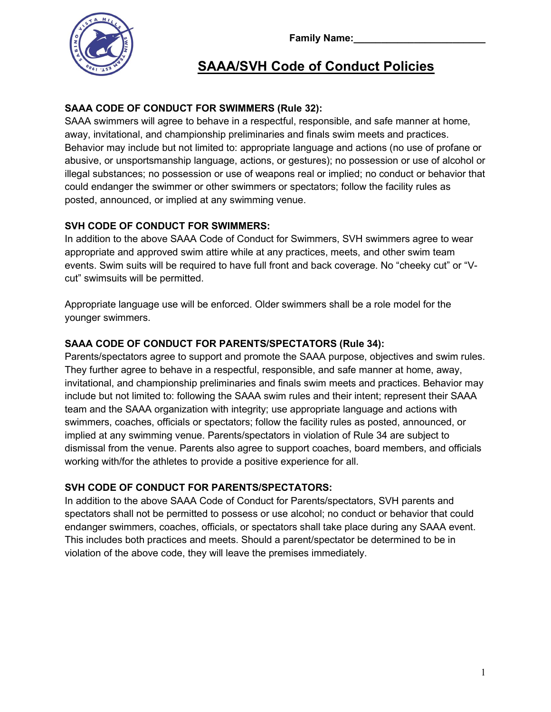Family Name:



# SAAA/SVH Code of Conduct Policies

## SAAA CODE OF CONDUCT FOR SWIMMERS (Rule 32):

SAAA swimmers will agree to behave in a respectful, responsible, and safe manner at home, away, invitational, and championship preliminaries and finals swim meets and practices. Behavior may include but not limited to: appropriate language and actions (no use of profane or abusive, or unsportsmanship language, actions, or gestures); no possession or use of alcohol or illegal substances; no possession or use of weapons real or implied; no conduct or behavior that could endanger the swimmer or other swimmers or spectators; follow the facility rules as posted, announced, or implied at any swimming venue.

### SVH CODE OF CONDUCT FOR SWIMMERS:

In addition to the above SAAA Code of Conduct for Swimmers, SVH swimmers agree to wear appropriate and approved swim attire while at any practices, meets, and other swim team events. Swim suits will be required to have full front and back coverage. No "cheeky cut" or "Vcut" swimsuits will be permitted.

Appropriate language use will be enforced. Older swimmers shall be a role model for the younger swimmers.

## SAAA CODE OF CONDUCT FOR PARENTS/SPECTATORS (Rule 34):

Parents/spectators agree to support and promote the SAAA purpose, objectives and swim rules. They further agree to behave in a respectful, responsible, and safe manner at home, away, invitational, and championship preliminaries and finals swim meets and practices. Behavior may include but not limited to: following the SAAA swim rules and their intent; represent their SAAA team and the SAAA organization with integrity; use appropriate language and actions with swimmers, coaches, officials or spectators; follow the facility rules as posted, announced, or implied at any swimming venue. Parents/spectators in violation of Rule 34 are subject to dismissal from the venue. Parents also agree to support coaches, board members, and officials working with/for the athletes to provide a positive experience for all.

### SVH CODE OF CONDUCT FOR PARENTS/SPECTATORS:

In addition to the above SAAA Code of Conduct for Parents/spectators, SVH parents and spectators shall not be permitted to possess or use alcohol; no conduct or behavior that could endanger swimmers, coaches, officials, or spectators shall take place during any SAAA event. This includes both practices and meets. Should a parent/spectator be determined to be in violation of the above code, they will leave the premises immediately.